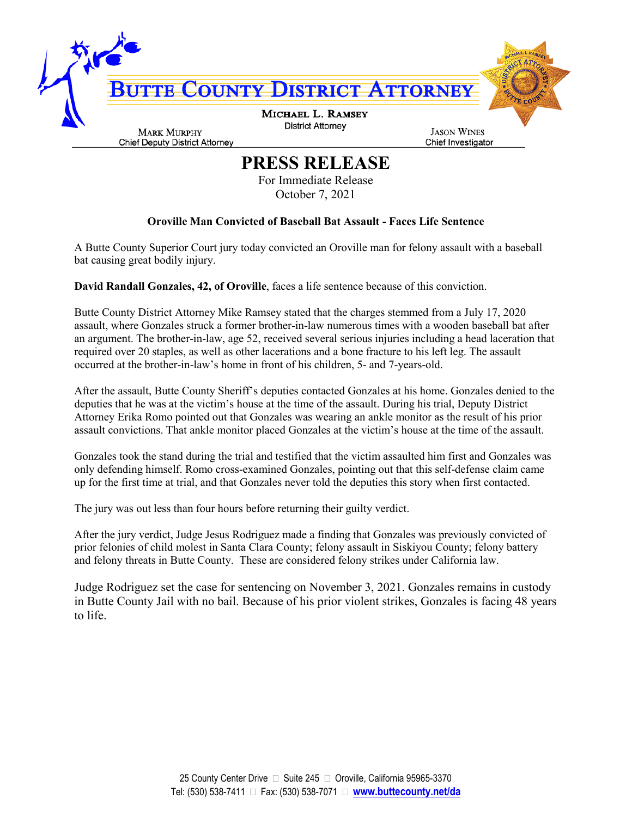

## **PRESS RELEASE**

For Immediate Release October 7, 2021

## **Oroville Man Convicted of Baseball Bat Assault - Faces Life Sentence**

A Butte County Superior Court jury today convicted an Oroville man for felony assault with a baseball bat causing great bodily injury.

**David Randall Gonzales, 42, of Oroville**, faces a life sentence because of this conviction.

Butte County District Attorney Mike Ramsey stated that the charges stemmed from a July 17, 2020 assault, where Gonzales struck a former brother-in-law numerous times with a wooden baseball bat after an argument. The brother-in-law, age 52, received several serious injuries including a head laceration that required over 20 staples, as well as other lacerations and a bone fracture to his left leg. The assault occurred at the brother-in-law's home in front of his children, 5- and 7-years-old.

After the assault, Butte County Sheriff's deputies contacted Gonzales at his home. Gonzales denied to the deputies that he was at the victim's house at the time of the assault. During his trial, Deputy District Attorney Erika Romo pointed out that Gonzales was wearing an ankle monitor as the result of his prior assault convictions. That ankle monitor placed Gonzales at the victim's house at the time of the assault.

Gonzales took the stand during the trial and testified that the victim assaulted him first and Gonzales was only defending himself. Romo cross-examined Gonzales, pointing out that this self-defense claim came up for the first time at trial, and that Gonzales never told the deputies this story when first contacted.

The jury was out less than four hours before returning their guilty verdict.

After the jury verdict, Judge Jesus Rodriguez made a finding that Gonzales was previously convicted of prior felonies of child molest in Santa Clara County; felony assault in Siskiyou County; felony battery and felony threats in Butte County. These are considered felony strikes under California law.

Judge Rodriguez set the case for sentencing on November 3, 2021. Gonzales remains in custody in Butte County Jail with no bail. Because of his prior violent strikes, Gonzales is facing 48 years to life.